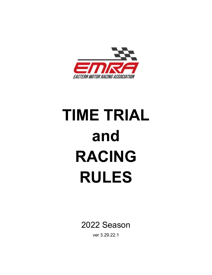

# **TIME TRIAL and RACING RULES**

2022 Season

ver 3.29.22.1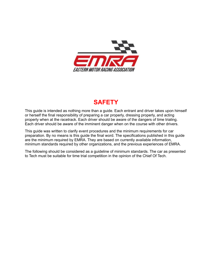

# **SAFETY**

This guide is intended as nothing more than a guide. Each entrant and driver takes upon himself or herself the final responsibility of preparing a car properly, dressing properly, and acting properly when at the racetrack. Each driver should be aware of the dangers of time trialing. Each driver should be aware of the imminent danger when on the course with other drivers.

This guide was written to clarify event procedures and the minimum requirements for car preparation. By no means is this guide the final word. The specifications published in this guide are the minimum required by EMRA. They are based on currently available information, minimum standards required by other organizations, and the previous experiences of EMRA.

The following should be considered as a guideline of minimum standards. The car as presented to Tech must be suitable for time trial competition in the opinion of the Chief Of Tech.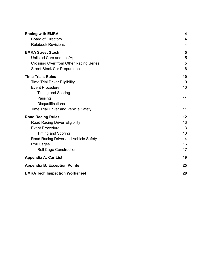| <b>Racing with EMRA</b>                     | 4  |
|---------------------------------------------|----|
| <b>Board of Directors</b>                   | 4  |
| <b>Rulebook Revisions</b>                   | 4  |
| <b>EMRA Street Stock</b>                    | 5  |
| Unlisted Cars and Lbs/Hp                    | 5  |
| Crossing Over from Other Racing Series      | 5  |
| <b>Street Stock Car Preparation</b>         | 6  |
| <b>Time Trials Rules</b>                    | 10 |
| <b>Time Trial Driver Eligibility</b>        | 10 |
| <b>Event Procedure</b>                      | 10 |
| <b>Timing and Scoring</b>                   | 11 |
| Passing                                     | 11 |
| <b>Disqualifications</b>                    | 11 |
| <b>Time Trial Driver and Vehicle Safety</b> | 11 |
| <b>Road Racing Rules</b>                    | 12 |
| <b>Road Racing Driver Eligibility</b>       | 13 |
| <b>Event Procedure</b>                      | 13 |
| <b>Timing and Scoring</b>                   | 13 |
| Road Racing Driver and Vehicle Safety       | 14 |
| <b>Roll Cages</b>                           | 16 |
| <b>Roll Cage Construction</b>               | 17 |
| <b>Appendix A: Car List</b>                 | 19 |
| <b>Appendix B: Exception Points</b>         | 25 |
| <b>EMRA Tech Inspection Worksheet</b>       | 28 |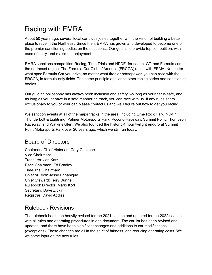# <span id="page-3-0"></span>Racing with EMRA

About 50 years ago, several local car clubs joined together with the vision of building a better place to race in the Northeast. Since then, EMRA has grown and developed to become one of the premier sanctioning bodies on the east coast. Our goal is to provide top competition, with ease of entry, and maximum enjoyment.

EMRA sanctions competition Racing, Time Trials and HPDE, for sedan, GT, and Formula cars in the northeast region. The Formula Car Club of America (FRCCA) races with ERMA. No matter what spec Formula Car you drive, no matter what tires or horsepower, you can race with the FRCCA, in formula-only fields. The same principle applies to other racing series and sanctioning bodies.

Our guiding philosophy has always been inclusion and safety. As long as your car is safe, and as long as you behave in a safe manner on track, you can race with us. If any rules seem exclusionary to you or your car, please contact us and we'll figure out how to get you racing.

We sanction events at all of the major tracks in the area, including Lime Rock Park, NJMP Thunderbolt & Lightning, Palmer Motorsports Park, Pocono Raceway, Summit Point, Thompson Raceway, and Watkins Glen. We also founded the historic 4 hour twilight enduro at Summit Point Motorsports Park over 20 years ago, which we still run today.

## <span id="page-3-1"></span>Board of Directors

Chairman/ Chief Historian: Cory Canzone Vice Chairman: Treasurer: Jon Katz Race Chairman: Ed Bradley Time Trial Chairman: Chief of Tech: Jesse Echanique Chief Steward: Terry Dunne Rulebook Director: Mario Korf Secretary: Dave Zipkin Registrar: David Addiss

# <span id="page-3-2"></span>Rulebook Revisions

The rulebook has been heavily revised for the 2021 season and updated for the 2022 season, with all rules and operating procedures in one document. The car list has been revised and updated, and there have been significant changes and additions to car modifications (exceptions). These changes are all in the spirit of fairness, and reducing operating costs. We welcome input on the new rules.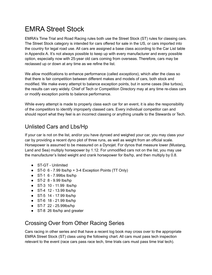# <span id="page-4-0"></span>EMRA Street Stock

EMRA's Time Trial and Road Racing rules both use the Street Stock (ST) rules for classing cars. The Street Stock category is intended for cars offered for sale in the US, or cars imported into the country for legal road use. All cars are assigned a base class according to the Car List table in Appendix A. It's not always possible to keep up with every manufacturer and every possible option, especially now with 25-year old cars coming from overseas. Therefore, cars may be reclassed up or down at any time as we refine the list.

We allow modifications to enhance performance (called *exceptions*), which alter the class so that there is fair competition between different makes and models of cars, both stock and modified. We make every attempt to balance exception points, but in some cases (like turbos), the results can vary widely. Chief of Tech or Competition Directory may at any time re-class cars or modify exception points to balance performance.

While every attempt is made to properly class each car for an event, it is also the responsibility of the *competitors* to identify improperly classed cars. Every individual competitor can and should report what they feel is an incorrect classing or anything unsafe to the Stewards or Tech.

## <span id="page-4-1"></span>Unlisted Cars and Lbs/Hp

If your car is not on the list, and/or you have dynoed and weighed your car, you may class your car by providing a recent dyno plot of three runs, as well as weight from an official scale. Horsepower is assumed to be measured on a Dynojet. For dynos that measure lower (Mustang, Land and Sea) multiply horsepower by 1.12. For unmodified cars not on the list, you may use the manufacturer's listed weight and crank horsepower for lbs/hp, and then multiply by 0.8.

- ST-GT Unlimited
- $\bullet$  ST-0 6 7.99 lbs/hp + 3-4 Exception Points (TT Only)
- ST-1 6 7.99lbs lbs/hp
- ST-2 8 9.99 lbs/hp
- ST-3 10 11.99 lbs/hp
- ST-4 12 13.99 lbs/hp
- ST-5 14 17.99 lbs/hp
- ST-6 18 21.99 lbs/hp
- ST-7 22 25.99lbs/hp
- ST-8 26 lbs/hp and greater

# <span id="page-4-2"></span>Crossing Over from Other Racing Series

Cars racing in other series and that have a recent log book may cross over to the appropriate EMRA Street Stock (ST) class using the following chart. All cars must pass tech inspection relevant to the event (race cars pass race tech, time trials cars must pass time trial tech).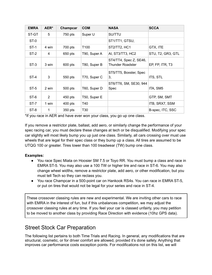| <b>EMRA</b> | AER*  | Champcar  | <b>COM</b>       | <b>NASA</b>                                       | <b>SCCA</b>       |
|-------------|-------|-----------|------------------|---------------------------------------------------|-------------------|
| ST-GT       | 5     | 750 pts   | Super U          | SU/TTU                                            |                   |
| ST-0        |       |           |                  | ST1/TT1, GTSU,                                    |                   |
| $ST-1$      | 4 win | 700 pts   | T <sub>100</sub> | ST2/TT2, HC1                                      | GTX, ITE          |
| ST-2        | 4     | 650 pts   | T90, Super A     | AI, ST3/TT3, HC2                                  | STU, T2, GR3, GTL |
| $ST-3$      | 3 win | 600 pts   | T80, Super B     | ST4/TT4, Spec Z, SE46,<br><b>Thunder Roadster</b> | EP, FP, ITR, T3   |
| ST-4        | 3     | 550 pts   | T70, Super C     | ST5/TT5, Boxster, Spec<br>3,                      | ITS, STL          |
| ST-5        | 2 win | 500 pts   | T60, Super D     | ST6/TT6, SM, SE30, 944<br>Spec                    | ITA, SM5          |
| ST-6        | 2     | 450 pts   | T50, Super E     |                                                   | GTP, SM, SMT      |
| ST-7        | 1 win | $400$ pts | T40              |                                                   | ITB, SRX7, SSM    |
| ST-8        | 1     | 350 pts   | T30              |                                                   | B-spec, ITC, SSC  |

\*If you race in AER and have ever won your class, you go up one class.

If you remove a restrictor plate, ballast, add aero, or similarly change the performance of your spec racing car, you must declare these changes at tech or be disqualified. Modifying your spec car slightly will most likely bump you up just one class. Similarly, all cars crossing over must use wheels that are legal for their spec class or they bump up a class. All tires are assumed to be UTQG 100 or greater. Tires lower than 100 treadwear (TW) bump one class.

#### **Examples:**

- You race Spec Miata on Hoosier SM 7.5 or Toyo RR. You must bump a class and race in EMRA ST-5. You may also use a 100 TW or higher tire and race in ST-6. You may also change wheel widths, remove a restrictor plate, add aero, or other modification, but you must tell Tech so they can reclass you.
- You race Champcar in a 500-point car on Hankook RS4s. You can race in EMRA ST-5, or put on tires that would not be legal for your series and race in ST-4.

These crossover classing rules are new and experimental. We are inviting other cars to race with EMRA in the interest of fun, but if this unbalances competition, we may adjust the crossover classing rules at any time. If you feel your car is classed unfairly, you may petition to be moved to another class by providing Race Direction with evidence (10hz GPS data).

#### <span id="page-5-0"></span>Street Stock Car Preparation

The following list pertains to both Time Trials and Racing. In general, any modifications that are structural, cosmetic, or for driver comfort are allowed, provided it's done safely. Anything that improves car performance costs exception points. For modifications not on this list, we will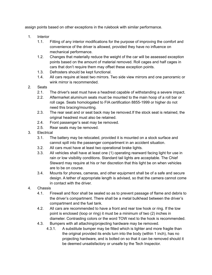assign points based on other exceptions in the rulebook with similar performance.

- 1. Interior
	- 1.1. Fitting of any interior modifications for the purpose of improving the comfort and convenience of the driver is allowed, provided they have no influence on mechanical performance.
	- 1.2. Changes that materially reduce the weight of the car will be assessed exception points based on the amount of material removed. Roll cages and half cages in cars that don't require them may offset these exception points.
	- 1.3. Defrosters should be kept functional.
	- 1.4. All cars require at least two mirrors. Two side view mirrors and one panoramic or wink mirror is recommended.
- 2. Seats
	- 2.1. The driver's seat must have a headrest capable of withstanding a severe impact.
	- 2.2. Aftermarket aluminum seats must be mounted to the main hoop of a roll bar or roll cage. Seats homologated to FIA certification 8855-1999 or higher do not need this bracing/mounting.
	- 2.3. The rear seat and or seat back may be removed.If the stock seat is retained, the original headrest must also be retained.
	- 2.4. Front passenger's seat may be removed.
	- 2.5. Rear seats may be removed.
- 3. Electrical
	- 3.1. The battery may be relocated, provided it is mounted on a stock surface and cannot spill into the passenger compartment in an accident situation.
	- 3.2. All cars must have at least two operational brake lights.
	- 3.3. All vehicles shall have at least one (1) operating rearward facing light for use in rain or low visibility conditions. Standard tail lights are acceptable. The Chief Steward may require at his or her discretion that this light be on when vehicles are to be on course.
	- 3.4. Mounts for phones, cameras, and other equipment shall be of a safe and secure design. A tether of appropriate length is advised, so that the camera cannot come in contact with the driver.
- 4. Chassis
	- 4.1. Firewall and floor shall be sealed so as to prevent passage of flame and debris to the driver's compartment. There shall be a metal bulkhead between the driver's compartment and the fuel tank.
	- 4.2. All cars are recommended to have a front and rear tow hook or ring. If the tow point is enclosed (loop or ring) it must be a minimum of two (2) inches in diameter. Contrasting colors or the word TOW next to the hook is recommended.
	- 4.3. Bumpers with all attaching/projecting hardware may be removed.
		- 4.3.1. A substitute bumper may be fitted which is lighter and more fragile than the original provided its ends turn into the body (within 1 inch), has no projecting hardware, and is bolted on so that it can be removed should it be deemed unsatisfactory or unsafe by the Tech Inspector.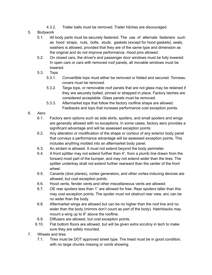- 4.3.2. Trailer balls must be removed. Trailer hitches are discouraged.
- 5. Bodywork
	- 5.1. All body parts must be securely fastened. The use of alternate fasteners such as hood straps, nuts, bolts, studs, gaskets (except for hood gaskets), seals, washers is allowed, provided that they are of the same type and dimension as the original and do not improve performance. Hood pins allowed.
	- 5.2. On closed cars, the driver's and passenger door windows must be fully lowered. In open cars or cars with removed roof panels, all movable windows must be lowered.
	- 5.3. Tops
		- 5.3.1. Convertible tops must either be removed or folded and secured. Tonneau covers must be removed.
		- 5.3.2. Targa tops, or removable roof panels that are not glass may be retained if they are securely bolted, pinned or strapped in place. Factory latches are considered acceptable. Glass panels must be removed.
		- 5.3.3. Aftermarket tops that follow the factory roofline shape are allowed. Fastbacks and tops that increase performance cost exception points.
- 6. Aero
	- 6.1. Factory aero options such as side skirts, spoilers, and small spoilers and wings are generally allowed with no exceptions. In some cases, factory aero provides a significant advantage and will be assessed exception points.
	- 6.2. Any alteration or modification of the shape or contour of any exterior body panel that conveys a performance advantage will be assessed exception points. This includes anything molded into an aftermarket body panel.
	- 6.3. An airdam is allowed. It must not extend beyond the body perimeter.
	- 6.4. A front splitter may not extend further than 4", from a plumb line drawn from the forward most part of the bumper, and may not extend wider than the tires. The splitter undertray shall not extend further rearward than the center of the front wheel.
	- 6.5. Canards (dive planes), vortex generators, and other vortex-inducing devices are allowed, but cost exception points.
	- 6.6. Hood vents, fender vents and other miscellaneous vents are allowed.
	- 6.7. OE rear spoilers less than 1" are allowed for free. Rear spoilers taller than this may cost exception points. The spoiler must not obstruct rear view, anc can be no wider than the body.
	- 6.8. Aftermarket wings are allowed but can be no higher than the roof line and no wider than the body (mirrors don't count as part of the body). Hatchbacks may mount a wing up to 8" above the roofline.
	- 6.9. Diffusers are allowed, but cost exception points.
	- 6.10. Flat bottom floors are allowed, but will be given extra scrutiny in tech to make sure they are safely mounted.
- 7. Wheels and tires
	- 7.1. Tires must be DOT approved street type. Tire tread must be in good condition, with no large chunks missing or cords showing.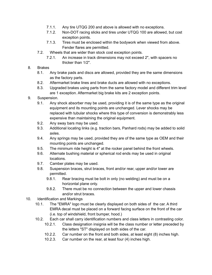- 7.1.1. Any tire UTQG 200 and above is allowed with no exceptions.
- 7.1.2. Non-DOT racing slicks and tires under UTQG 100 are allowed, but cost exception points.
- 7.1.3. Tires must be enclosed within the bodywork when viewed from above. Fender flares are permitted.
- 7.2. Wheels that are wider than stock cost exception points.
	- 7.2.1. An increase in track dimensions may not exceed 2", with spacers no thicker than 1/2".
- 8. Brakes
	- 8.1. Any brake pads and discs are allowed, provided they are the same dimensions as the factory parts.
	- 8.2. Aftermarket brake lines and brake ducts are allowed with no exceptions.
	- 8.3. Upgraded brakes using parts from the same factory model and different trim level are 1 exception. Aftermarket big brake kits are 2 exception points.
- 9. Suspension.
	- 9.1. Any shock absorber may be used, providing it is of the same type as the original equipment and its mounting points are unchanged. Lever shocks may be replaced with tubular shocks where this type of conversion is demonstrably less expensive than maintaining the original equipment.
	- 9.2. Any sway bars may be used.
	- 9.3. Additional locating links (e.g. traction bars, Panhard rods) may be added to solid axles.
	- 9.4. Any springs may be used, provided they are of the same type as OEM and their mounting points are unchanged.
	- 9.5. The minimum ride height is 4" at the rocker panel behind the front wheels.
	- 9.6. Alternate bushing material or spherical rod ends may be used in original locations.
	- 9.7. Camber plates may be used.
	- 9.8. Suspension braces, strut braces, front and/or rear, upper and/or lower are permitted.
		- 9.8.1. Rear bracing must be bolt in only (no welding) and must be on a horizontal plane only.
		- 9.8.2. There must be no connection between the upper and lower chassis and/or strut braces.
- 10. Identification and Markings
	- 10.1. The "EMRA" logo must be clearly displayed on both sides of the car. A third EMRA decal must be placed on a forward facing surface on the front of the car (i.e. top of windshield, front bumper, hood.)
	- 10.2. Each car shall carry identification numbers and class letters in contrasting color.
		- 10.2.1. Class designation insignia will be the class number or letter preceded by the letters "ST" displayed on both sides of the car.
		- 10.2.2. Car number on the front and both sides, at least eight (8) inches high.
		- 10.2.3. Car number on the rear, at least four (4) inches high.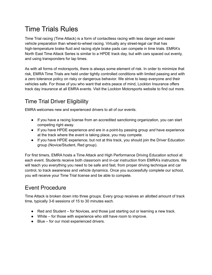# <span id="page-9-0"></span>Time Trials Rules

Time Trial racing (Time Attack) is a form of contactless racing with less danger and easier vehicle preparation than wheel-to-wheel racing. Virtually any street-legal car that has high-temperature brake fluid and racing style brake pads can compete in time trials. EMRA's North East Time Attack Series is similar to a HPDE track day, but with cars spaced out evenly, and using transponders for lap times.

As with all forms of motorsports, there is always some element of risk. In order to minimize that risk, EMRA Time Trials are held under tightly controlled conditions with limited passing and with a zero tolerance policy on risky or dangerous behavior. We strive to keep everyone and their vehicles safe. For those of you who want that extra peace of mind, Lockton Insurance offers track day insurance at all EMRA events. Visit the Lockton Motorsports website to find out more.

# <span id="page-9-1"></span>Time Trial Driver Eligibility

EMRA welcomes new and experienced drivers to all of our events.

- If you have a racing license from an accredited sanctioning organization, you can start competing right away.
- If you have HPDE experience and are in a point-by passing group *and* have experience at the track where the event is taking place, you may compete.
- If you have HPDE experience, but not at this track, you should join the Driver Education group (Novice/Student, Red group).

For first timers, EMRA hosts a Time Attack and High Performance Driving Education school at each event. Students receive both classroom and in-car instruction from EMRA's instructors. We will teach you everything you need to be safe and fast, from proper driving technique and car control, to track awareness and vehicle dynamics. Once you successfully complete our school, you will receive your Time Trial license and be able to compete.

# <span id="page-9-2"></span>Event Procedure

Time Attack is broken down into three groups. Every group receives an allotted amount of track time, typically 3-6 sessions of 15 to 30 minutes each.

- Red and Student for Novices, and those just starting out or learning a new track.
- White for those with experience who still have room to improve.
- Blue for our most experienced drivers.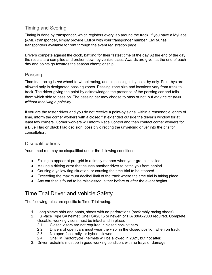#### <span id="page-10-0"></span>Timing and Scoring

Timing is done by transponder, which registers every lap around the track. If you have a MyLaps (AMB) transponder, simply provide EMRA with your transponder number. EMRA has transponders available for rent through the event registration page.

Drivers compete against the clock, battling for their fastest time of the day. At the end of the day the results are compiled and broken down by vehicle class. Awards are given at the end of each day and points go towards the season championship.

#### <span id="page-10-1"></span>Passing

Time trial racing is *not* wheel-to-wheel racing, and all passing is by point-by only. Point-bys are allowed only in designated passing zones. Passing zone size and locations vary from track to track. The driver giving the point-by acknowledges the presence of the passing car and tells them which side to pass on. The passing car may choose to pass or not, but *may never pass without receiving a point-by.*

If you are the faster driver and you do not receive a point-by signal within a reasonable length of time, inform the corner workers with a closed fist extended outside the driver's window for at least two corners. Corner workers will inform Race Control and then contact corner workers for a Blue Flag or Black Flag decision, possibly directing the unyielding driver into the pits for consultation.

#### <span id="page-10-2"></span>**Disqualifications**

Your timed run may be disqualified under the following conditions:

- Failing to appear at pre-grid in a timely manner when your group is called.
- Making a driving error that causes another driver to catch you from behind.
- Causing a yellow flag situation, or causing the time trial to be stopped.
- Exceeding the maximum decibel limit of the track where the time trial is taking place.
- Any car that is found to be misclassed, either before or after the event begins.

# <span id="page-10-3"></span>Time Trial Driver and Vehicle Safety

The following rules are specific to Time Trial racing.

- 1. Long sleeve shirt and pants, shoes with no perforations (preferably racing shoes).
- 2. Full-face Type SA helmet, Snell SA2015 or newer, or FIA 8860-2000 required. Complete, closable, working visors must be intact and in place.
	- 2.1. Closed visors are not required in closed cockpit cars.
	- 2.2. Drivers of open cars must wear the visor in the closed position when on track.
	- 2.3. No open-face, rally, or hybrid allowed.
	- 2.4. Snell M (motorcycle) helmets will be allowed in 2021, but not after.
- 3. Driver restraints must be in good working condition, with no frays or damage.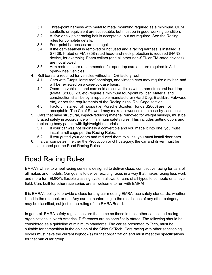- 3.1. Three-point harness with metal to metal mounting required as a minimum. OEM seatbelts or equivalent are acceptable, but must be in good working condition.
- 3.2. A five or six point racing belt is acceptable, but not required. See the Racing rules for complete details.
- 3.3. Four-point harnesses are not legal.
- 3.4. If the oem seatbelt is removed or not used and a racing harness is installed, a SFI 38.1-rated or FIA 8858-rated head-and-neck protection is required (HANS device, for example). Foam collars (and all other non-SFI- or FIA-rated devices) are not allowed
- 3.5. Arm restraints are recommended for open-top cars and are required in ALL open-wheel vehicles.
- 4. Roll bars are required for vehicles without an OE factory roof.
	- 4.1. Cars with T-tops, large roof openings, and vintage cars may require a rollbar, and will be reviewed on a case-by-case basis.
	- 4.2. Open-top vehicles, and cars sold as convertibles with a non-structural hard top (Miata, S2000, Z3, etc) require a minimum four-point roll bar. Material and construction shall be by a reputable manufacturer (Hard Dog, Blackbird Fabworx, etc), or per the requirements of the Racing rules, Roll Cage section.
	- 4.3. Factory installed roll hoops (i.e. Porsche Boxster, Honda S2000) are not acceptable. The Chief Steward may make allowances on a case-by-case basis.
- 5. Cars that have structural, impact-reducing material removed for weight savings, must be braced safely in accordance with minimum safety rules. This includes gutting doors and replacing body panels with lightweight materials.
	- 5.1. If your car was not originally a convertible and you made it into one, you must install a roll cage per the Racing Rules.
	- 5.2. If you gutted your doors and reduced them to skins, you must install door bars.
- 6. If a car competes in either the Production or GT category, the car and driver must be equipped per the Road Racing Rules.

# <span id="page-11-0"></span>Road Racing Rules

EMRA's wheel to wheel racing series is designed to deliver close, competitive racing for cars of all makes and models. Our goal is to deliver exciting races in a way that makes racing less work and more fun. EMRA's flexible classing system allows for cars of all types to compete on a level field. Cars built for other race series are all welcome to run with EMRA!

It is EMRA's policy to provide a class for any car meeting EMRA race safety standards, whether listed in the rulebook or not. Any car not conforming to the restrictions of any other category may be classified, subject to the ruling of the EMRA Board.

In general, EMRA safety regulations are the same as those in most other sanctioned racing organizations in North America. Differences are as specifically stated. The following should be considered as a guideline of minimum standards. The car as presented to Tech, must be suitable for competition in the opinion of the Chief Of Tech. Cars racing with other sanctioning bodies must have the current logbook(s) for that organization and must meet the specifications for that particular group.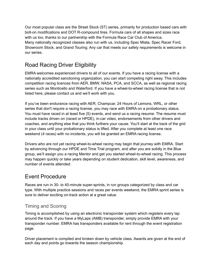Our most popular class are the Street Stock (ST) series, primarily for production based cars with bolt-on modifications and DOT R-compound tires. Formula cars of all shapes and sizes race with us too, thanks to our partnership with the Formula Race Car Club of America. Many nationally recognized classes also run with us, including Spec Miata, Spec Racer Ford, Showroom Stock, and Grand Touring. Any car that meets our safety requirements is welcome in our series.

# <span id="page-12-0"></span>Road Racing Driver Eligibility

EMRA welcomes experienced drivers to all of our events. If you have a racing license with a nationally accredited sanctioning organization, you can start competing right away. This includes competition racing licences from AER, BMW, NASA, PCA, and SCCA, as well as regional racing series such as Monticello and Waterford. If you have a wheel-to-wheel racing license that is not listed here, please contact us and we'll work with you.

If you've been endurance racing with AER, Champcar, 24 Hours of Lemons, WRL, or other series that don't require a racing license, you may race with EMRA on a probationary status. You must have raced in at least five (5) events, and send us a racing resume. The resume must include tracks driven on (raced or HPDE), in-car video, endorsements from other drivers and coaches, and anything else that you think furthers your cause. You'll start at the back of the grid in your class until your probationary status is lifted. After you complete at least one race weekend (4 races) with no incidents, you will be granted an EMRA racing license.

Drivers who are not yet racing wheel-to-wheel racing may begin that journey with EMRA. Start by advancing through our HPDE and Time Trial program, and after you are solidly in the Blue group, we'll assign you a racing Mentor and get you started wheel-to-wheel racing. This process may happen quickly or take years depending on student dedication, skill level, awareness, and number of events attended.

## <span id="page-12-1"></span>Event Procedure

Races are run in 30- to 40-minute super-sprints, in run groups categorized by class and car type. With multiple practice sessions and races per events weekend, the EMRA sprint series is sure to deliver exciting on-track action at a great value.

#### <span id="page-12-2"></span>Timing and Scoring

Timing is accomplished by using an electronic transponder system which registers every lap around the track. If you have a MyLaps (AMB) transponder, simply provide EMRA with your transponder number. EMRA has transponders available for rent through the event registration page.

Driver placement is compiled and broken down by vehicle class. Awards are given at the end of each day and points go towards the season championship.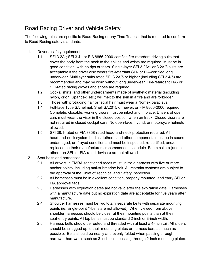# <span id="page-13-0"></span>Road Racing Driver and Vehicle Safety

The following rules are specific to Road Racing or any Time Trial car that is required to conform to Road Racing safety standards.

- 1. Driver's safety equipment
	- 1.1. SFI 3.2A-; SFI 3.4-; or FIA 8856-2000-certified fire-retardant driving suits that cover the body from the neck to the ankles and wrists are required. Must be in good condition, with no rips or tears. Single-layer SFI 3.2A/1 or 3.2A/3 suits are acceptable if the driver also wears fire-retardant SFI- or FIA-certified long underwear. Multilayer suits rated SFI 3.2A/5 or higher (including SFI 3.4/5) are recommended and may be worn without long underwear. Fire-retardant FIA- or SFI-rated racing gloves and shoes are required.
	- 1.2. Socks, shirts, and other undergarments made of synthetic material (including nylon, orlon, Spandex, etc.) will melt to the skin in a fire and are forbidden.
	- 1.3. Those with protruding hair or facial hair must wear a Nomex balaclava.
	- 1.4. Full-face Type SA helmet, Snell SA2015 or newer, or FIA 8860-2000 required. Complete, closable, working visors must be intact and in place. Drivers of open cars must wear the visor in the closed position when on track. Closed visors are not required in closed cockpit cars. No open-face, hybrid, or motorcycle helmets allowed.
	- 1.5. SFI 38.1-rated or FIA 8858-rated head-and-neck protection required. All head-and-neck system bodies, tethers, and other components must be in sound, undamaged, un-frayed condition and must be inspected, re-certified, and/or replaced on their manufacturers' recommended schedule. Foam collars (and all other non-SFI- or FIA-rated devices) are not allowed.
- 2. Seat belts and harnesses
	- 2.1. All drivers in EMRA sanctioned races must utilize a harness with five or more anchor points, including anti-submarine belt. All restraint systems are subject to the approval of the Chief of Technical and Safety Inspection.
	- 2.2. All harnesses must be in excellent condition, properly mounted, and carry SFI or FIA approval tags.
	- 2.3. Harnesses with expiration dates are not valid after the expiration date. Harnesses with a manufacture date but no expiration date are acceptable for five years after manufacture.
	- 2.4. Shoulder harnesses must be two totally separate belts with separate mounting points (ie, single-point Y-belts are not allowed). When viewed from above, shoulder harnesses should be closer at their mounting points than at their seat-entry points. All lap belts must be standard 2-inch or 3-inch width.
	- 2.5. Harness belts should be routed and threaded with at least a 4-inch tail. All sliders should be snugged up to their mounting plates or harness bars as much as possible. Belts should be neatly and evenly folded when passing through narrower hardware, such as 3-inch belts passing through 2-inch mounting plates.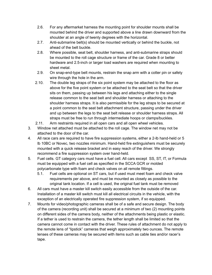- 2.6. For any aftermarket harness the mounting point for shoulder mounts shall be mounted behind the driver and supported above a line drawn downward from the shoulder at an angle of twenty degrees with the horizontal.
- 2.7. Anti-submarine belt(s) should be mounted vertically or behind the buckle, not ahead of the belt buckle.
- 2.8. Where possible, seat belt, shoulder harness, and anti-submarine straps should be mounted to the roll cage structure or frame of the car. Grade 8 or better hardware and 2.5-inch or larger load washers are required when mounting to sheet metal.
- 2.9. On snap-end-type belt mounts, restrain the snap arm with a cotter pin or safety wire through the hole in the arm.
- 2.10. The double leg straps of the six point system may be attached to the floor as above for the five point system or be attached to the seat belt so that the driver sits on them, passing up between his legs and attaching either to the single release common to the seat belt and shoulder harness or attaching to the shoulder harness straps. It is also permissible for the leg straps to be secured at a point common to the seat belt attachment structure, passing under the driver and up between the legs to the seat belt release or shoulder harness straps. All straps must be free to run through intermediate hoops or clamps/buckles.
- 2.11. Arm restraints required in all open cars and all open wheel vehicles.
- 3. Window net attached must be attached to the roll cage. The window net may not be attached to the door of the car.
- 4. All race cars are required to have fire suppression systems, either a 2-lb hand-held or 5 lb 10BC or Novec, two nozzles minimum. Hand-held fire extinguishers must be securely mounted with a quick release bracket and in easy reach of the driver. We strongly recommend a fire suppression system over hand-held.
- 5. Fuel cells. GT category cars must have a fuel cell. All cars except SS, ST, IT, or Formula must be equipped with a fuel cell as specified in the SCCA GCR or molded polycarbonate type with foam and check valves on all remote fittings.
	- 5.1. Fuel cells are optional on ST cars, but if used must meet foam and check valve requirements per above, and must be mounted as closely as possible to the original tank location. If a cell is used, the original fuel tank must be removed
- 6. All cars must have a master kill switch easily accessible from the outside of the car. Installation of a master kill switch must kill all electrical circuits in the vehicle, with the exception of an electrically operated fire suppression system, if so equipped.
- 7. Mounts for video/photographic cameras shall be of a safe and secure design. The body of the camera (recording unit) shall be secured at a minimum of two (2) mounting points on different sides of the camera body, neither of the attachments being plastic or elastic. If a tether is used to restrain the camera, the tether length shall be limited so that the camera cannot come in contact with the driver. These rules of attachment do not apply to the remote lens of "lipstick" cameras that weigh approximately two ounces. The remote lenses of these cameras may be secured with items such as cable ties and/or racer's tape.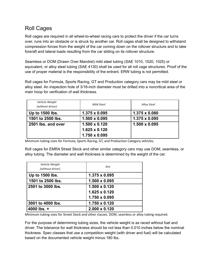## <span id="page-15-0"></span>Roll Cages

Roll cages are required in all wheel-to-wheel racing cars to protect the driver if the car turns over, runs into an obstacle or is struck by another car. Roll cages shall be designed to withstand compression forces from the weight of the car coming down on the rollover structure and to take fore/aft and lateral loads resulting from the car sliding on its rollover structure.

Seamless or DOM (Drawn Over Mandrel) mild steel tubing (SAE 1010, 1020, 1025) or equivalent, or alloy steel tubing (SAE 4130) shall be used for all roll cage structures. Proof of the use of proper material is the responsibility of the entrant. ERW tubing is not permitted.

Roll cages for Formula, Sports Racing, GT and Production category cars may be mild steel or alloy steel. An inspection hole of 3/16-inch diameter must be drilled into a noncritical area of the main hoop for verification of wall thickness.

| Vehicle Weight<br>(without driver) | <b>Mild Steel</b>    | <b>Alloy Steel</b>   |
|------------------------------------|----------------------|----------------------|
| Up to 1500 lbs.                    | $1.375 \times 0.095$ | $1.375 \times 0.080$ |
| 1501 to 2500 lbs.                  | $1.500 \times 0.095$ | $1.375 \times 0.095$ |
| 2501 lbs. and over                 | $1.500 \times 0.120$ | $1.500 \times 0.095$ |
|                                    | $1.625 \times 0.120$ |                      |
|                                    | 1.750 x 0.095        |                      |

Minimum tubing sizes for Formula, Sports Racing, GT, and Production Category vehicles.

Roll cages for EMRA Street Stock and other similar category cars may use DOM, seamless, or alloy tubing. The diameter and wall thickness is determined by the weight of the car.

| <b>Vehicle Weight</b><br>(without driver) | <b>Size</b>          |
|-------------------------------------------|----------------------|
| Up to 1500 lbs.                           | $1.375 \times 0.095$ |
| 1501 to 2500 lbs.                         | $1.500 \times 0.095$ |
| 2501 to 3000 lbs.                         | $1.500 \times 0.120$ |
|                                           | $1.625 \times 0.120$ |
|                                           | $1.750 \times 0.095$ |
| 3001 to 4000 lbs.                         | $1.750 \times 0.120$ |
| 4000 lbs. $+$                             | $2.000 \times 0.120$ |

Minimum tubing sizes for Street Stock and other classes. DOM, seamless or alloy tubing required.

For the purpose of determining tubing sizes, the vehicle weight is as raced without fuel and driver. The tolerance for wall thickness should be not less than 0.010 inches below the nominal thickness. Spec classes that use a competition weight (with driver and fuel) will be calculated based on the documented vehicle weight minus 180 lbs.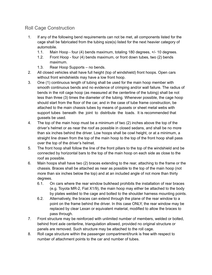#### <span id="page-16-0"></span>Roll Cage Construction

- 1. If any of the following bend requirements can not be met, all components listed for the cage shall be fabricated from the tubing size(s) listed for the next heavier category of automobile.
	- 1.1. Main Hoop four (4) bends maximum, totaling 180 degrees, +/- 10 degrees.
	- 1.2. Front Hoop four (4) bends maximum, or front down tubes, two (2) bends maximum.
	- 1.3. Rear Hoop Supports no bends.
- 2. All closed vehicles shall have full height (top of windshield) front hoops. Open cars without front windshields may have a low front hoop.
- 3. One (1) continuous length of tubing shall be used for the main hoop member with smooth continuous bends and no evidence of crimping and/or wall failure. The radius of bends in the roll cage hoop (as measured at the centerline of the tubing) shall be not less than three (3) times the diameter of the tubing. Whenever possible, the cage hoop should start from the floor of the car, and in the case of tube frame construction, be attached to the main chassis tubes by means of gussets or sheet metal webs with support tubes beneath the joint to distribute the loads. It is recommended that gussets be used.
- 4. The top of the main hoop must be a minimum of two (2) inches above the top of the driver's helmet or as near the roof as possible in closed sedans, and shall be no more than six inches behind the driver. Low hoops shall be cowl height, or at a minimum, a straight line drawn from the top of the main hoop to the top of the front hoop shall pass over the top of the driver's helmet.
- 5. The front hoop shall follow the line of the front pillars to the top of the windshield and be connected by horizontal bars to the top of the main hoop on each side as close to the roof as possible.
- 6. Main hoops shall have two (2) braces extending to the rear, attaching to the frame or the chassis. Braces shall be attached as near as possible to the top of the main hoop (not more than six inches below the top) and at an included angle of not more than thirty degrees.
	- 6.1. On cars where the rear window bulkhead prohibits the installation of rear braces (e.g. Toyota MR-2, Fiat X1/9), the main hoop may either be attached to the body by plates welded to the cage and bolted to the shoulder harness mounting points.
	- 6.2. Alternatively, the braces can extend through the plane of the rear window to a point on the frame behind the driver. In this case ONLY, the rear window may be replaced by clear Lexan or equivalent material, modified to allow the braces to pass through.
- 7. Front structure may be reinforced with unlimited number of members, welded or bolted, behind front axle centerline, triangulation allowed, provided no original structure or panels are removed. Such structure may be attached to the roll cage.
- 8. Roll cage structure within the passenger compartment/trunk is free with respect to number of attachment points to the car and number of tubes.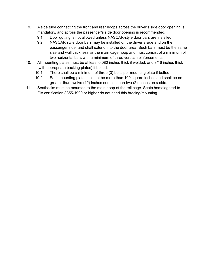- 9. A side tube connecting the front and rear hoops across the driver's side door opening is mandatory, and across the passenger's side door opening is recommended.
	- 9.1. Door gutting is not allowed unless NASCAR-style door bars are installed.
	- 9.2. NASCAR style door bars may be installed on the driver's side and on the passenger side, and shall extend into the door area. Such bars must be the same size and wall thickness as the main cage hoop and must consist of a minimum of two horizontal bars with a minimum of three vertical reinforcements.
- 10. All mounting plates must be at least 0.080 inches thick if welded, and 3/16 inches thick (with appropriate backing plates) if bolted.
	- 10.1. There shall be a minimum of three (3) bolts per mounting plate if bolted.
	- 10.2. Each mounting plate shall not be more than 100 square inches and shall be no greater than twelve (12) inches nor less than two (2) inches on a side.
- 11. Seatbacks must be mounted to the main hoop of the roll cage. Seats homologated to FIA certification 8855-1999 or higher do not need this bracing/mounting.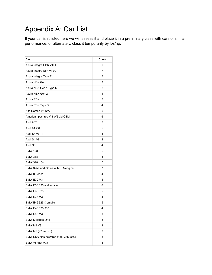# <span id="page-18-0"></span>Appendix A: Car List

If your car isn't listed here we will assess it and place it in a preliminary class with cars of similar performance, or alternately, class it temporarily by lbs/hp.

| Car                                   | <b>Class</b> |
|---------------------------------------|--------------|
| Acura Integra GSR VTEC                | 6            |
| Acura Integra Non-VTEC                | 7            |
| Acura Integra Type R                  | 5            |
| Acura NSX Gen 1                       | 3            |
| Acura NSX Gen 1 Type R                | 2            |
| Acura NSX Gen 2                       | 1            |
| Acura RSX                             | 5            |
| Acura RSX Type S                      | 4            |
| Alfa Romeo V6 N/A                     | 6            |
| American pushrod V-8 w/2 bbl OEM      | 6            |
| Audi A3T                              | 5            |
| Audi A4 2.8                           | 5            |
| Audi S4 V6 TT                         | 4            |
| Audi S4 V8                            | 2            |
| Audi S6                               | 4            |
| <b>BMW 128i</b>                       | 5            |
| <b>BMW 318i</b>                       | 8            |
| <b>BMW 318i 16v</b>                   | 7            |
| BMW 325e and 325es with ETA engine    | 7            |
| <b>BMW 8 Series</b>                   | 4            |
| <b>BMW E30 M3</b>                     | 5            |
| BMW E36 325 and smaller               | 6            |
| <b>BMW E36 328</b>                    | 5            |
| <b>BMW E36 M3</b>                     | 4            |
| BMW E46 325 & smaller                 | 5            |
| BMW E46 328-330                       | 4            |
| BMW E46 M3                            | 3            |
| BMW M coupe (Z4)                      | 3            |
| BMW M3 V8                             | 2            |
| BMW M5 (97 and up)                    | 3            |
| BMW N54/ N55 powered (135, 335, etc.) | 3            |
| BMW V8 (not M3)                       | 4            |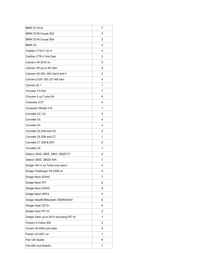| BMW Z3 4Cyl                            | 7 |
|----------------------------------------|---|
| BMW Z3 M Coupe S52                     | 4 |
| BMW Z3 M Coupe S54                     | 3 |
| BMW <sub>Z4</sub>                      | 5 |
| Cadillac CTS-V 1st G                   | 4 |
| Cadillac CTS-V 2nd Gen                 | 3 |
| Camaro V6 2010 on                      | 5 |
| Camaro V6 up to 4th Gen                | 8 |
| Camaro V8 305, 350 Gen3 and 4          | 5 |
| Camaro Z-28 / SS LS1 4th Gen           | 4 |
| Camaro ZL1                             | 1 |
| Chrysler 2.5 N/A                       | 7 |
| Chrysler 4 cyl Turbo 8V                | 6 |
| Consulier 2.5T                         | 4 |
| Consulier/ Mosler V-8                  | 1 |
| Corvette C2, C3                        | 5 |
| Corvette C4                            | 4 |
| Corvette C5                            | 3 |
| Corvette C5 Z06 and C6                 | 2 |
| Corvette C6 Z06 and C7                 | 1 |
| Corvette C7 Z06 & ZR1                  | 0 |
| Corvette C8                            | 1 |
| Datsun 240Z, 260Z, 280Z, 280ZX FI      | 5 |
| Datsun 260Z, 280ZX N/A                 | 7 |
| Dodge 16V 4 cyl Turbo (not neon)       | 5 |
| Dodge Challenger V8 2008 on            | 4 |
| Dodge Neon DOHC                        | 7 |
| Dodge Neon R/T                         | 6 |
| Dodge Neon SOHC                        | 8 |
| Dodge Neon SRT4                        | 4 |
| Dodge Stealth/Mitsubishi 3000N/A24V    | 6 |
| Dodge Viper 2013+                      | 0 |
| Dodge Viper RT-10                      | 2 |
| Dodge Viper up to 2012 excluding RT-10 | 1 |
| Factory 5 Cobra 302                    | 5 |
| Ferrari V8 2000 and older              | 4 |
| Ferrari V8 2001 on                     | 1 |
| Fiat 128 Spider                        | 6 |
| Fiat 500 (not Abarth)                  | 7 |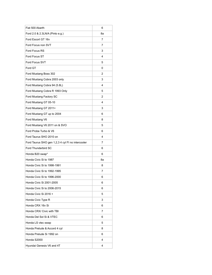| Fiat 500 Abarth                                   | 6  |
|---------------------------------------------------|----|
| Ford 2.0 & 2.3LN/A (Pinto e.g.)                   | 8а |
| Ford Escort GT 16v                                | 7  |
| Ford Focus non SVT                                | 7  |
| Ford Focus RS                                     | 3  |
| Ford Focus ST                                     | 4  |
| Ford Focus SVT                                    | 5  |
| Ford GT                                           | 0  |
| Ford Mustang Boss 302                             | 2  |
| Ford Mustang Cobra 2003 only                      | 3  |
| Ford Mustang Cobra 94 (5.8L)                      | 4  |
| Ford Mustang Cobra R 1993 Only                    | 5  |
| Ford Mustang Factory SC                           | 2  |
| Ford Mustang GT 05-10                             | 4  |
| Ford Mustang GT 2011+                             | 3  |
| Ford Mustang GT up to 2004                        | 6  |
| Ford Mustang V6                                   | 8  |
| Ford Mustang V6 2011 on & SVO                     | 5  |
| Ford Probe Turbo & V6                             | 6  |
| Ford Taurus SHO 2010 on                           | 4  |
| Ford Taurus SHO gen 1,2,3 4 cyl FI no intercooler | 7  |
| Ford Thunderbird SC                               | 6  |
| Honda B20 swap*                                   | 6  |
| Honda Civic Si to 1987                            | 8а |
| Honda Civic Si to 1998-1991                       | 8  |
| Honda Civic Si to 1992-1995                       | 7  |
| Honda Civic Si to 1996-2000                       | 6  |
| Honda Civic Si 2001-2005                          | 6  |
| Honda Civic Si to 2006-2015                       | 6  |
| Honda Civic Si 2016 +                             | 5  |
| Honda Civic Type R                                | 3  |
| Honda CRX 16v Si                                  | 6  |
| Honda CRX/ Civic with TBI                         | 7  |
| Honda Del Sol Si & VTEC                           | 6  |
| Honda LS vtec swap                                | 5  |
| Honda Prelude & Accord 4 cyl                      | 8  |
| Honda Prelude Si 1992 on                          | 6  |
| Honda S2000                                       | 4  |
| Hyundai Genesis V6 and 4T                         | 4  |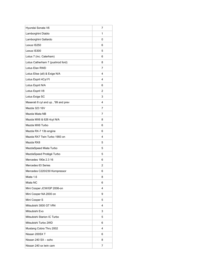| Hyundai Sonata V6                   | 7 |
|-------------------------------------|---|
| Lamborghini Diablo                  | 1 |
| Lamborghini Gallardo                | 0 |
| Lexus IS250                         | 6 |
| Lexus IS300                         | 5 |
| Lotus 7 (inc. Caterham)             | 6 |
| Lotus Catherham 7 (pushrod ford)    | 8 |
| Lotus Elan RWD                      | 7 |
| Lotus Elise (all) & Exige N/A       | 4 |
| Lotus Esprit 4Cyl FI                | 4 |
| Lotus Esprit N/A                    | 6 |
| Lotus Esprit V8                     | 2 |
| Lotus Exige SC                      | 3 |
| Maserati 8 cyl and up, '99 and prev | 4 |
| Mazda 323 16V                       | 7 |
| Mazda Miata NB                      | 7 |
| Mazda MX6 & 626 4cyl N/A            | 8 |
| Mazda MX6 Turbo                     | 6 |
| Mazda RX-7 13b engine               | 6 |
| Mazda RX7 Twin Turbo 1993 on        | 4 |
| Mazda RX8                           | 5 |
| MazdaSpeed Miata Turbo              | 5 |
| MazdaSpeed Protégé Turbo            | 5 |
| Mercedes 190e 2.3 16                | 6 |
| Mercedes 63 Series                  | 2 |
| Mercedes C220/230 Kompressor        | 6 |
| Miata 1.6                           | 8 |
| Miata NC                            | 6 |
| Mini Cooper JCW/GP 2006-on          | 4 |
| Mini Cooper NA 2000 on              | 9 |
| Mini Cooper S                       | 5 |
| Mitsubishi 3000 GT VR4              | 4 |
| Mitsubishi Evo                      | 3 |
| Mitsubishi Starion IC Turbo         | 5 |
| Mitsubishi Turbo 2WD                | 6 |
| Mustang Cobra Thru 2002             | 4 |
| Nissan 200SX T                      | 6 |
| Nissan 240 SX - sohc                | 8 |
| Nissan 240 sx twin cam              | 7 |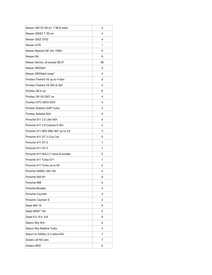| Nissan 300 ZX 89 on, T 88 & older    | 5  |
|--------------------------------------|----|
| Nissan 300ZX T '90 on                | 4  |
| Nissan 350Z 370Z                     | 4  |
| Nissan GTR                           | 1  |
| Nissan Maxima SE 24v 1992+           | 6  |
| Nissan NX                            | 8  |
| Nissan Sentra, all except SE-R       | 8b |
| Nissan SR20de*                       | 5  |
| Nissan SR20det/ swap*                | 4  |
| Pontiac Firebird V6 up to 4 Gen      | 8  |
| Pontiac Firebird V8 305 & 350        | 5  |
| Pontiac G8 6 cyl                     | 6  |
| Pontiac G8 V8 2007 on                | 4  |
| Pontiac GTO 2003-2007                | 4  |
| Pontiac Solstice GXP Turbo           | 4  |
| Pontiac Solstice N/A                 | 6  |
| Porsche 911 3.0 Liter N/A            | 4  |
| Porsche 911 3.8 Carrera S 05+        | 2  |
| Porsche 911 993/ 996/ 997 up to 3.6  | 3  |
| Porsche 911 GT 3 Cup Car             | 0  |
| Porsche 911 GT-2                     | 1  |
| Porsche 911 GT-3                     | 1  |
| Porsche 911 N/A 2.7 Litres & smaller | 5  |
| Porsche 911 Turbo 07+                | 1  |
| Porsche 911 Turbo up to 05           | 2  |
| Porsche 928S4, 944 16v               | 4  |
| Porsche 944 8V                       | 6  |
| Porsche 968                          | 4  |
| Porsche Boxster                      | 4  |
| Porsche Cayman                       | 4  |
| Porsche Cayman S                     | 3  |
| Saab 900 16                          | 8  |
| Saab 9000T 16v                       | 5  |
| Saab 9-3, 9-5, 9-6                   | 8  |
| Saturn Sky N/A                       | 6  |
| Saturn Sky Redline Turbo             | 4  |
| Saturn to 2400cc 2-3 valve N/A       | 7  |
| Subaru all NA cars                   | 7  |
| Subaru BRZ                           | 6  |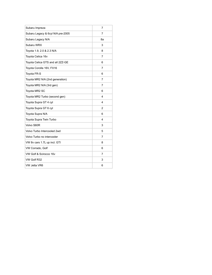<span id="page-23-0"></span>

| Subaru Impreza                    | 7  |
|-----------------------------------|----|
| Subaru Legacy & 6cyl N/A pre-2005 | 7  |
| Subaru Legacy N/A                 | 8a |
| Subaru WRX                        | 3  |
| Toyota 1.9, 2.0 & 2.3 N/A         | 8  |
| Toyota Celica 16v                 | 7  |
| Toyota Celica GTS and all 2ZZ-GE  | 6  |
| Toyota Corolla 16V, FX16          | 7  |
| Toyota FR-S                       | 6  |
| Toyota MR2 N/A (2nd generation)   | 7  |
| Toyota MR2 N/A (3rd gen)          | 7  |
| Toyota MR2 SC                     | 6  |
| Toyota MR2 Turbo (second gen)     | 4  |
| Toyota Supra GT 4 cyl             | 4  |
| Toyota Supra GT 6 cyl             | 2  |
| Toyota Supra N/A                  | 6  |
| Toyota Supra Twin Turbo           | 4  |
| Volvo S60R                        | 3  |
| Volvo Turbo Intercooled 2wd       | 5  |
| Volvo Turbo no intercooler        | 7  |
| VW 8v cars 1.7L up incl. GTI      | 8  |
| VW Corrado, Golf                  | 6  |
| VW Golf & Scirocco 16v            | 7  |
| VW Golf R32                       | 3  |
| VW Jetta VR6                      | 6  |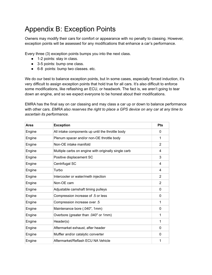# Appendix B: Exception Points

Owners may modify their cars for comfort or appearance with no penalty to classing. However, exception points will be assessed for any modifications that enhance a car's performance.

Every three (3) exception points bumps you into the next class.

- 1-2 points: stay in class.
- 3-5 points: bump one class.
- 6-8 points: bump two classes. etc.

We do our best to balance exception points, but In some cases, especially forced induction, it's very difficult to assign exception points that hold true for all cars. It's also difficult to enforce some modifications, like reflashing an ECU, or headwork. The fact is, we aren't going to tear down an engine, and so we expect everyone to be honest about their modifications.

EMRA has the final say on car classing and may class a car up or down to balance performance with other cars. *EMRA also reserves the right to place a GPS device on any car at any time to ascertain its performance.*

| Area   | <b>Exception</b>                                     | <b>Pts</b> |
|--------|------------------------------------------------------|------------|
| Engine | All intake components up until the throttle body     | 0          |
| Engine | Plenum spacer and/or non-OE throttle body            | 1          |
| Engine | Non-OE intake manifold                               | 2          |
| Engine | Multiple carbs on engine with originally single carb | 4          |
| Engine | Positive displacement SC                             | 3          |
| Engine | Centrifugal SC                                       | 4          |
| Engine | Turbo                                                | 4          |
| Engine | Intercooler or water/meth injection                  | 2          |
| Engine | Non-OE cam                                           | 2          |
| Engine | Adjustable camshaft timing pulleys                   | 0          |
| Engine | Compression increase of .5 or less                   | 0          |
| Engine | 5. Compression increase over                         | 1          |
| Engine | Maintenance bore (.040", 1mm)                        | 0          |
| Engine | Overbore (greater than .040" or 1mm)                 | 1          |
| Engine | Header(s)                                            | 1          |
| Engine | Aftermarket exhaust, after header                    | 0          |
| Engine | Muffler and/or catalytic converter                   | 0          |
| Engine | Aftermarket/Reflash ECU NA Vehicle                   | 1          |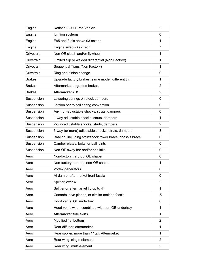| Engine        | Reflash ECU Turbo Vehicle                                 | 2              |
|---------------|-----------------------------------------------------------|----------------|
| Engine        | Ignition systems                                          | 0              |
| Engine        | E85 and fuels above 93 octane                             | 1              |
| Engine        | Engine swap - Ask Tech                                    | $\star$        |
| Drivetrain    | Non OE-clutch and/or flywheel                             | 1              |
| Drivetrain    | Limited slip or welded differential (Non Factory)         | $\mathbf{1}$   |
| Drivetrain    | Sequential Trans (Non Factory)                            | 1              |
| Drivetrain    | Ring and pinion change                                    | 0              |
| <b>Brakes</b> | Upgrade factory brakes, same model, different trim        | $\mathbf{1}$   |
| <b>Brakes</b> | Aftermarket upgraded brakes                               | 2              |
| <b>Brakes</b> | Aftermarket ABS                                           | 2              |
| Suspension    | Lowering springs on stock dampers                         | 0              |
| Suspension    | Torsion bar to coil spring conversion                     | 0              |
| Suspension    | Any non-adjustable shocks, struts, dampers                | 0              |
| Suspension    | 1-way adjustable shocks, struts, dampers                  | $\mathbf{1}$   |
| Suspension    | 2-way adjustable shocks, struts, dampers                  | 2              |
| Suspension    | 3-way (or more) adjustable shocks, struts, dampers        | 3              |
| Suspension    | Bracing, including strut/shock tower brace, chassis brace | 0              |
| Suspension    | Camber plates, bolts, or ball joints                      | 0              |
| Suspension    | Non-OE sway bar and/or endlinks                           | 0              |
| Aero          | Non-factory hardtop, OE shape                             | 0              |
| Aero          | Non-factory hardtop, non-OE shape                         | $\mathbf{1}$   |
| Aero          | Vortex generators                                         | 0              |
| Aero          | Airdam or aftermarket front fascia                        | 0              |
| Aero          | Splitter, over 4"                                         | 2              |
| Aero          | Splitter or aftermarket lip up to 4"                      | 1              |
| Aero          | Canards, dive planes, or similar molded fascia            | .5             |
| Aero          | Hood vents, OE undertray                                  | 0              |
| Aero          | Hood vents when combined with non-OE undertray            | 1              |
| Aero          | Aftermarket side skirts                                   | 1              |
| Aero          | Modified flat bottom                                      | $\overline{2}$ |
| Aero          | Rear diffuser, aftermarket                                | 1              |
| Aero          | Rear spoiler, more than 1" tall, Aftermarket              | 1              |
| Aero          | Rear wing, single element                                 | 2              |
| Aero          | Rear wing, multi-element                                  | 3              |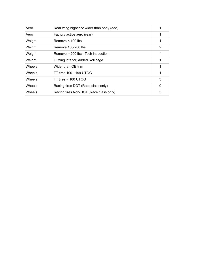| Aero   | Rear wing higher or wider than body (add) | 1           |
|--------|-------------------------------------------|-------------|
| Aero   | Factory active aero (rear)                | 1           |
| Weight | Remove $<$ 100 lbs                        | 1           |
| Weight | Remove 100-200 lbs                        | 2           |
| Weight | Remove > 200 lbs - Tech inspection        | $\star$     |
| Weight | Gutting interior, added Roll cage         | 1           |
| Wheels | Wider than OE trim                        | $\mathbf 1$ |
| Wheels | TT tires 100 - 199 UTQG                   | 1           |
| Wheels | TT tires < 100 UTQG                       | 3           |
| Wheels | Racing tires DOT (Race class only)        | 0           |
| Wheels | Racing tires Non-DOT (Race class only)    | 3           |